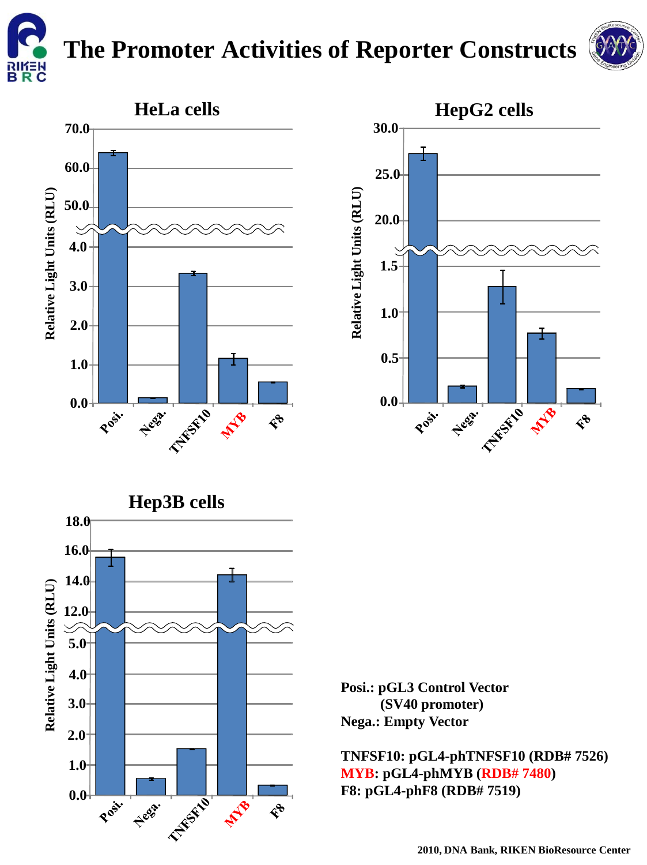

## **The Promoter Activities of Reporter Constructs**









**Posi.: pGL3 Control Vector (SV40 promoter) Nega.: Empty Vector**

**TNFSF10: pGL4-phTNFSF10 (RDB# 7526) MYB: pGL4-phMYB (RDB# 7480) F8: pGL4-phF8 (RDB# 7519)**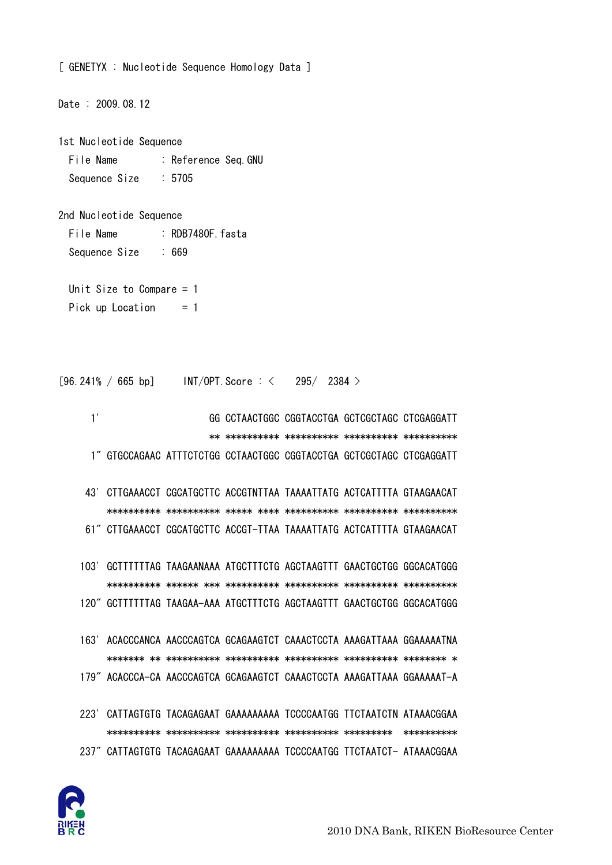

- 223' CATTAGTGTG TACAGAGAAT GAAAAAAAAA TCCCCAATGG TTCTAATCTN ATAAACGGAA 237" CATTAGTGTG TACAGAGAAT GAAAAAAAAA TCCCCAATGG TTCTAATCT- ATAAACGGAA
- 163' ACACCCANCA AACCCAGTCA GCAGAAGTCT CAAACTCCTA AAAGATTAAA GGAAAAATNA 179" ACACCCA-CA AACCCAGTCA GCAGAAGTCT CAAACTCCTA AAAGATTAAA GGAAAAAT-A
- 103' GCTTTTTTAG TAAGAANAAA ATGCTTTCTG AGCTAAGTTT GAACTGCTGG GGCACATGGG 120" GCTTTTTTAG TAAGAA-AAA ATGCTTTCTG AGCTAAGTTT GAACTGCTGG GGCACATGGG
- 43' CTTGAAACCT CGCATGCTTC ACCGTNTTAA TAAAATTATG ACTCATTTTA GTAAGAACAT 61" CTTGAAACCT CGCATGCTTC ACCGT-TTAA TAAAATTATG ACTCATTTTA GTAAGAACAT
- $1'$ GG CCTAACTGGC CGGTACCTGA GCTCGCTAGC CTCGAGGATT 1" GTGCCAGAAC ATTTCTCTGG CCTAACTGGC CGGTACCTGA GCTCGCTAGC CTCGAGGATT

 $295/2384$ 

Pick up Location  $= 1$ 

Unit Size to Compare  $= 1$ 

1st Nucleotide Sequence File Name : Reference Seq.GNU Sequence Size  $: 5705$ 

 $: 669$ 

 $[96.241\% / 665 bp]$  INT/OPT. Score : <

: RDB7480F fasta

File Name

Sequence Size

Date: 2009.08.12

2nd Nucleotide Sequence

[ GENETYX : Nucleotide Sequence Homology Data ]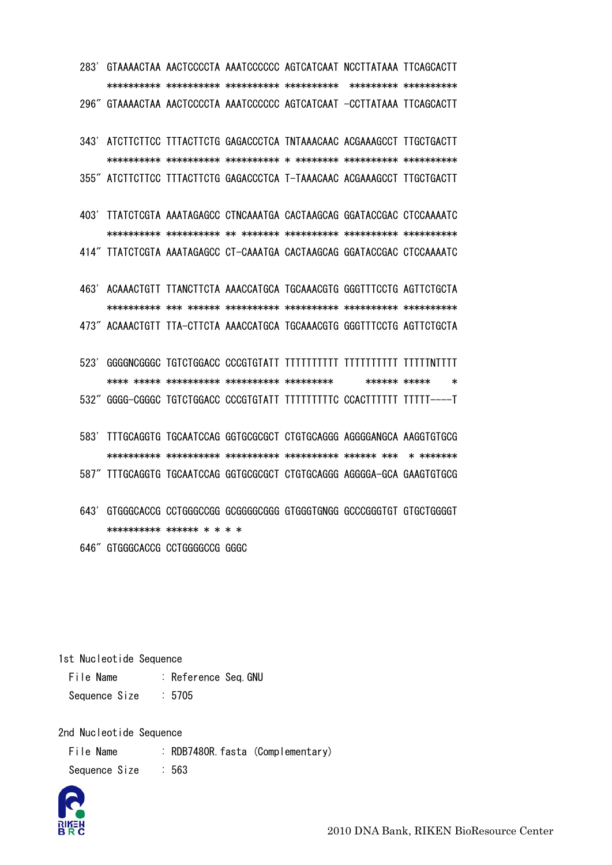283' GTAAAACTAA AACTCCCCTA AAATCCCCCC AGTCATCAAT NCCTTATAAA TTCAGCACTT 296" GTAAAACTAA AACTCCCCTA AAATCCCCCC AGTCATCAAT -CCTTATAAA TTCAGCACTT

343' ATCTTCTTCC TTTACTTCTG GAGACCCTCA TNTAAACAAC ACGAAAGCCT TTGCTGACTT 355" ATCTTCTTCC TTTACTTCTG GAGACCCTCA T-TAAACAAC ACGAAAGCCT TTGCTGACTT

403' TTATCTCGTA AAATAGAGCC CTNCAAATGA CACTAAGCAG GGATACCGAC CTCCAAAATC 414" TTATCTCGTA AAATAGAGCC CT-CAAATGA CACTAAGCAG GGATACCGAC CTCCAAAATC

463' ACAAACTGTT TTANCTTCTA AAACCATGCA TGCAAACGTG GGGTTTCCTG AGTTCTGCTA 473" ACAAACTGTT TTA-CTTCTA AAACCATGCA TGCAAACGTG GGGTTTCCTG AGTTCTGCTA

523' GGGGNCGGGC TGTCTGGACC CCCGTGTATT TTTTTTTTTT TTTTTTTTT TTTTTNTTTT \*\*\*\*\*\*\* \*\*\*\*\*  $\ast$ 532" GGGG-CGGGC TGTCTGGACC CCCGTGTATT TTTTTTTTTC CCACTTTTTT TTTTT----T

- 583' TTTGCAGGTG TGCAATCCAG GGTGCGCGCT CTGTGCAGGG AGGGGANGCA AAGGTGTGCG
- 587" TTTGCAGGTG TGCAATCCAG GGTGCGCGCT CTGTGCAGGG AGGGGA-GCA GAAGTGTGCG
- 643' GTGGGCACCG CCTGGGCCGG GCGGGGCGGG GTGGGTGNGG GCCCGGGTGT GTGCTGGGGT \*\*\*\*\*\*\*\*\*\*\* \*\*\*\*\*\* \* \* \* \*

646" GTGGGCACCG CCTGGGGCCG GGGC

1st Nucleotide Sequence

File Name : Reference Seq. GNU  $: 5705$ Sequence Size

2nd Nucleotide Sequence

File Name : RDB7480R.fasta (Complementary) Sequence Size  $\therefore$  563



2010 DNA Bank, RIKEN BioResource Center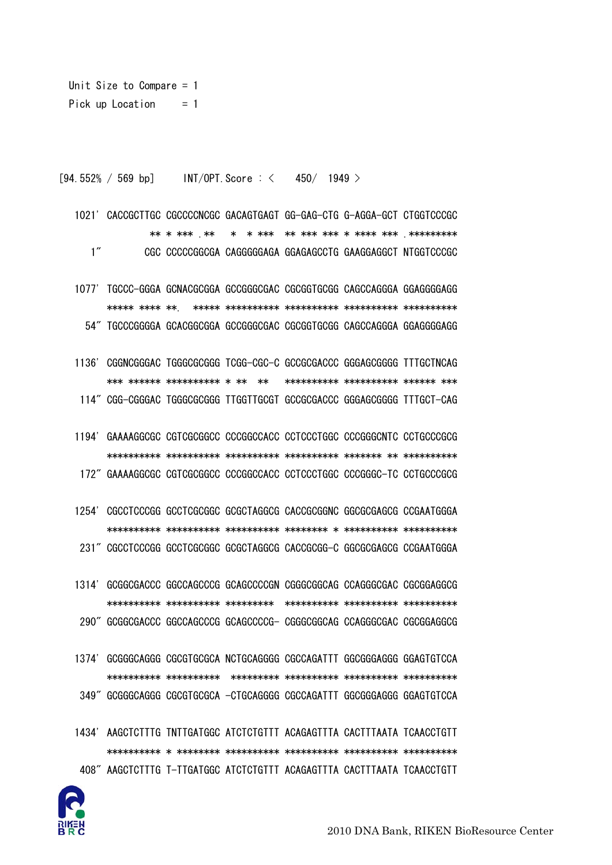

- 1434' AAGCTCTTTG TNTTGATGGC ATCTCTGTTT ACAGAGTTTA CACTTTAATA TCAACCTGTT 408" AAGCTCTTTG T-TTGATGGC ATCTCTGTTT ACAGAGTTTA CACTTTAATA TCAACCTGTT
- 1374' GCGGGCAGGG CGCGTGCGCA NCTGCAGGGG CGCCAGATTT GGCGGGAGGG GGAGTGTCCA 349" GCGGGCAGGG CGCGTGCGCA -CTGCAGGGG CGCCAGATTT GGCGGGAGGG GGAGTGTCCA
- 1314' GCGGCGACCC GGCCAGCCCG GCAGCCCCGN CGGGCGGCAG CCAGGGCGAC CGCGGAGGCG 290" GCGGCGACCC GGCCAGCCCG GCAGCCCCG- CGGGCGGCAG CCAGGGCGAC CGCGGAGGCG
- 231" CGCCTCCCGG GCCTCGCGGC GCGCTAGGCG CACCGCGG-C GGCGCGAGCG CCGAATGGGA

1254' CGCCTCCCGG GCCTCGCGGC GCGCTAGGCG CACCGCGGNC GGCGCGAGCG CCGAATGGGA

172" GAAAAGGCGC CGTCGCGGCC CCCGGCCACC CCTCCCTGGC CCCGGGC-TC CCTGCCCGCG

1194' GAAAAGGCGC CGTCGCGGCC CCCGGCCACC CCTCCCTGGC CCCGGGCNTC CCTGCCCGCG

- 1136' CGGNCGGGAC TGGGCGCGGG TCGG-CGC-C GCCGCGACCC GGGAGCGGGG TTTGCTNCAG 114" CGG-CGGGAC TGGGCGCGGG TTGGTTGCGT GCCGCGACCC GGGAGCGGGG TTTGCT-CAG
- 
- 1021' CACCGCTTGC CGCCCCNCGC GACAGTGAGT GG-GAG-CTG G-AGGA-GCT CTGGTCCCGC \*\* \* \*\*\* \*\*  $1''$ CGC CCCCCGGCGA CAGGGGGAGA GGAGAGCCTG GAAGGAGGCT NTGGTCCCGC
- [94.552% / 569 bp] INT/OPT. Score:  $\langle 450/1949 \rangle$
- Unit Size to Compare  $= 1$ Pick up Location  $= 1$